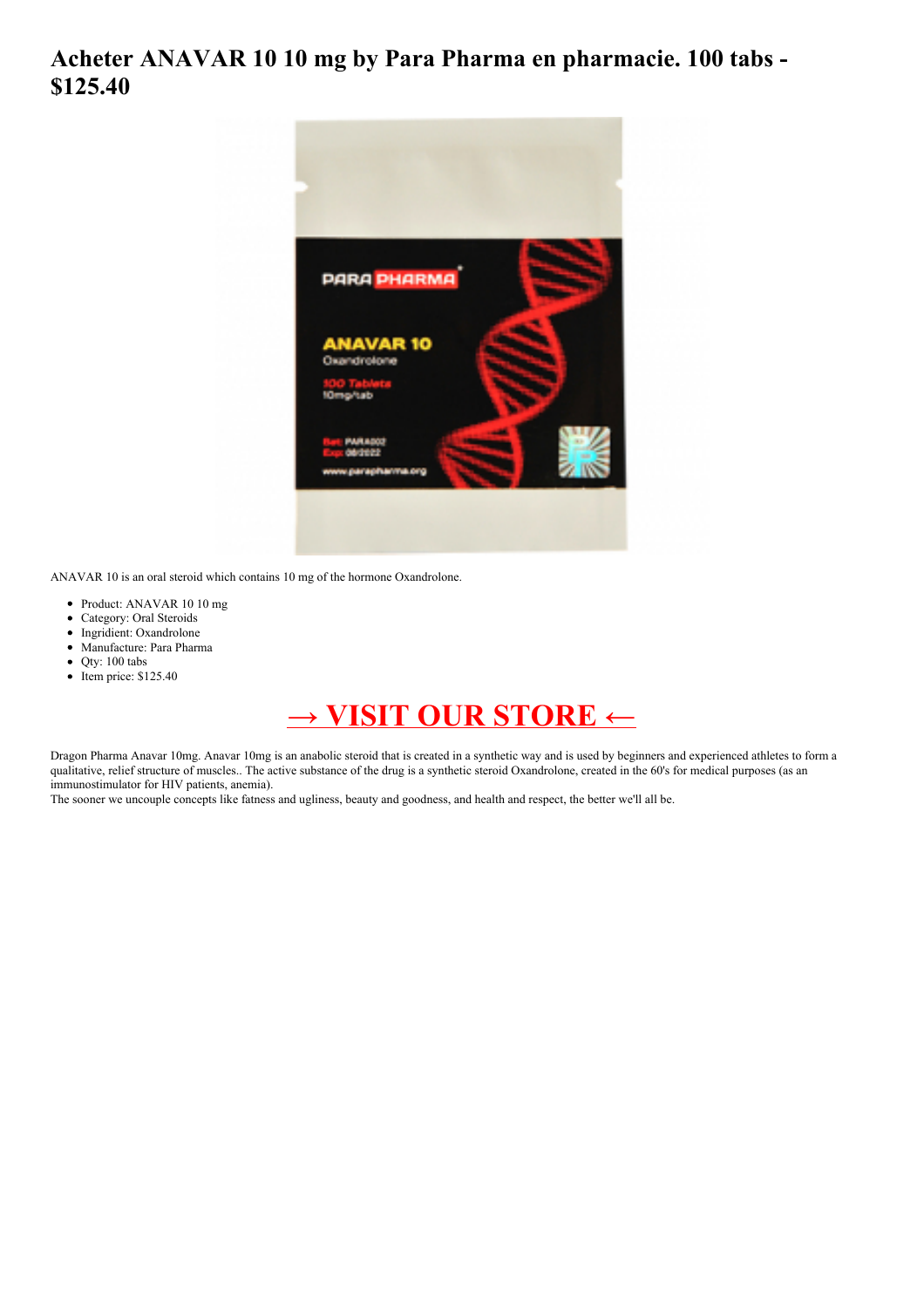## **Acheter ANAVAR 10 10 mg by Para Pharma en pharmacie. 100 tabs - \$125.40**



ANAVAR 10 is an oral steroid which contains 10 mg of the hormone Oxandrolone.

- Product: ANAVAR 10 10 mg
- Category: Oral Steroids
- Ingridient: Oxandrolone
- Manufacture: Para Pharma
- Qty: 100 tabs
- $\bullet$  Item price: \$125.40

## **→ VISIT OUR [STORE](https://t.co/Jb69AJLMjT) ←**

Dragon Pharma Anavar 10mg. Anavar 10mg is an anabolic steroid that is created in a synthetic way and is used by beginners and experienced athletes to form a qualitative, relief structure of muscles.. The active substance of the drug is a synthetic steroid Oxandrolone, created in the 60's for medical purposes (as an immunostimulator for HIV patients, anemia).

The sooner we uncouple concepts like fatness and ugliness, beauty and goodness, and health and respect, the better we'll all be.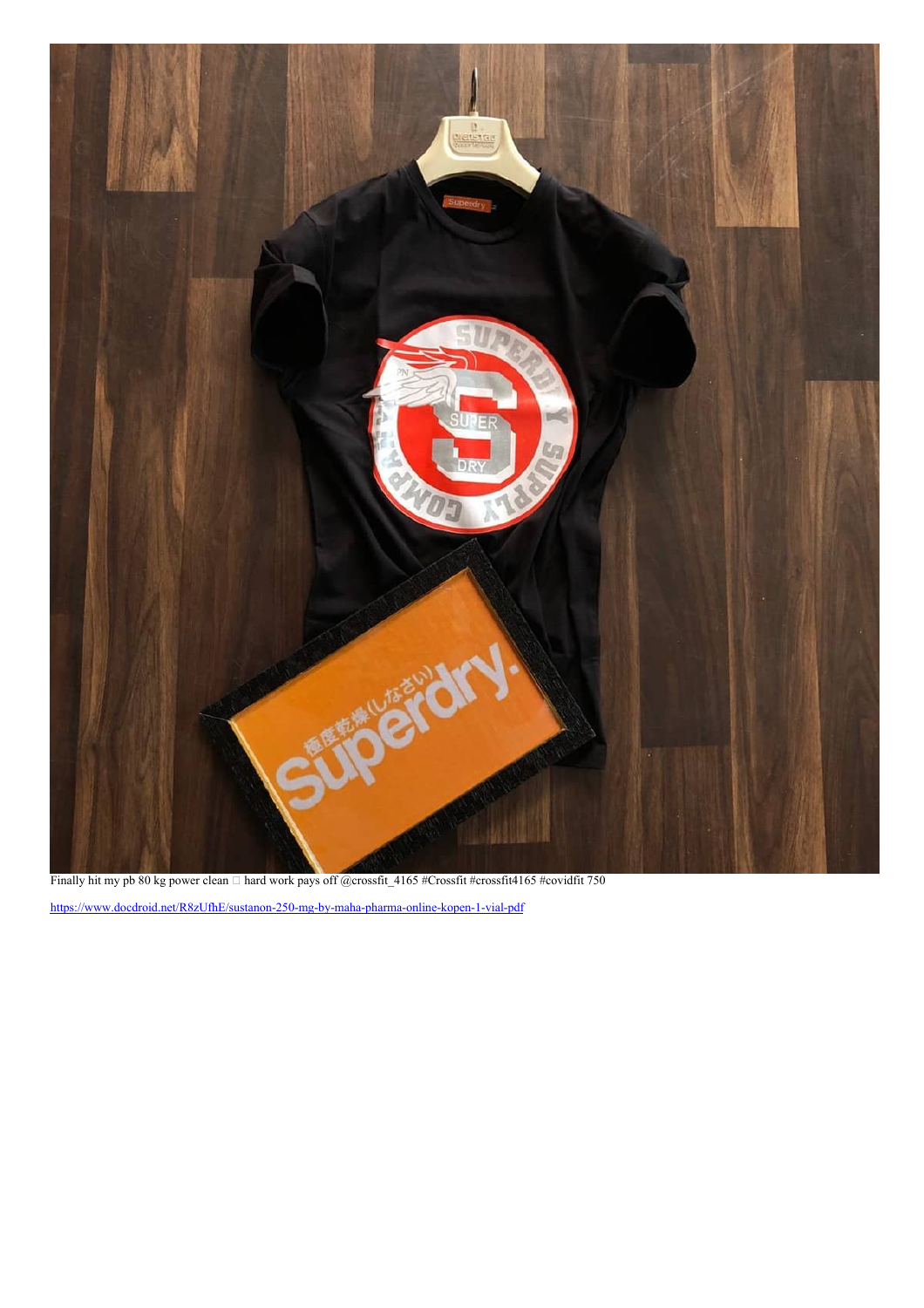

Finally hit my pb 80 kg power clean  $\Box$  hard work pays off @crossfit\_4165 #Crossfit #crossfit4165 #covidfit 750

<https://www.docdroid.net/R8zUfhE/sustanon-250-mg-by-maha-pharma-online-kopen-1-vial-pdf>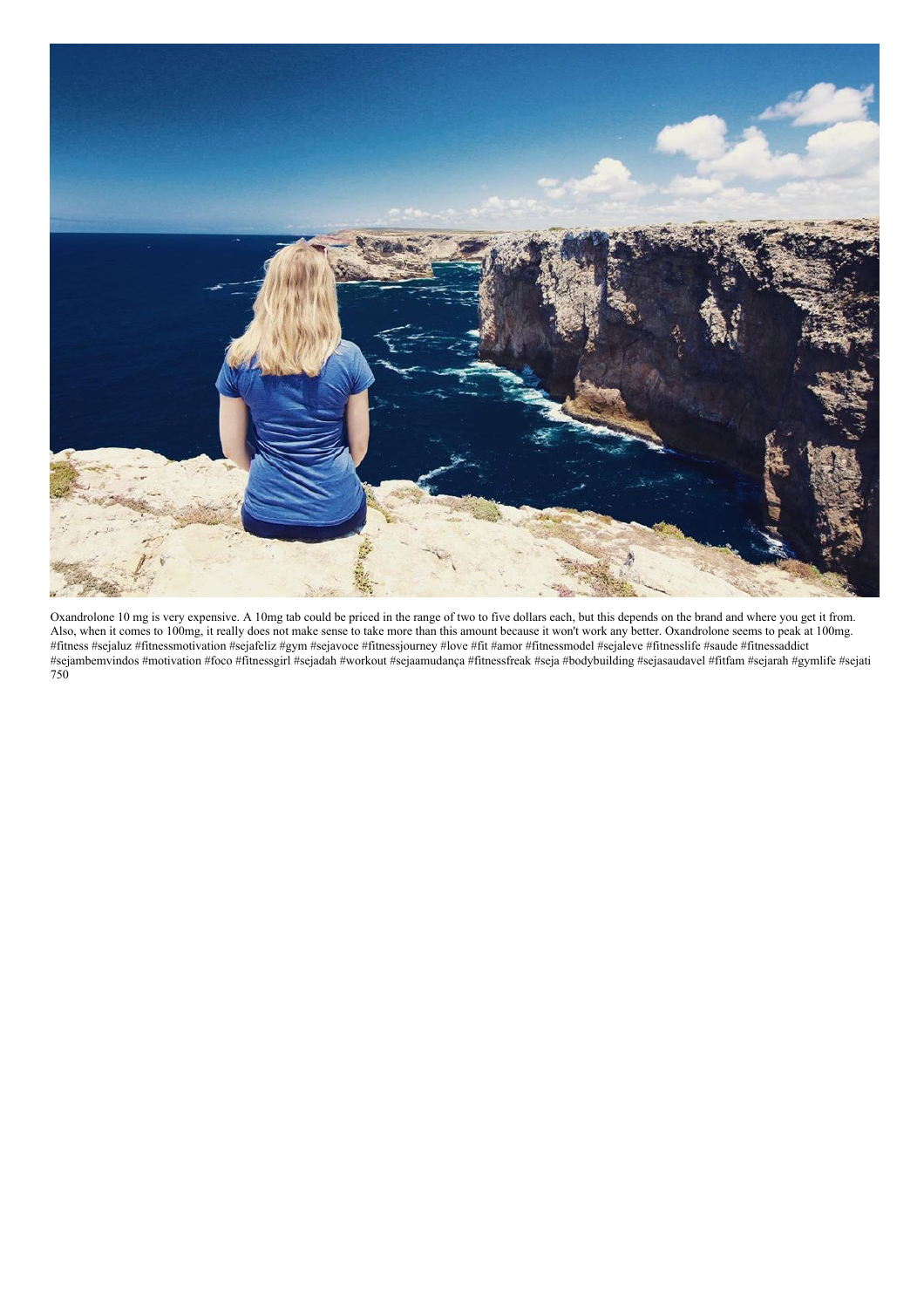

Oxandrolone 10 mg is very expensive. A 10mg tab could be priced in the range of two to five dollars each, but this depends on the brand and where you get it from. Also, when it comes to 100mg, it really does not make sense to take more than this amount because it won't work any better. Oxandrolone seems to peak at 100mg. #fitness #sejaluz #fitnessmotivation #sejafeliz #gym #sejavoce #fitnessjourney #love #fit #amor #fitnessmodel #sejaleve #fitnesslife #saude #fitnessaddict #sejambemvindos #motivation #foco #fitnessgirl #sejadah #workout #sejaamudança #fitnessfreak #seja #bodybuilding #sejasaudavel #fitfam #sejarah #gymlife #sejati 750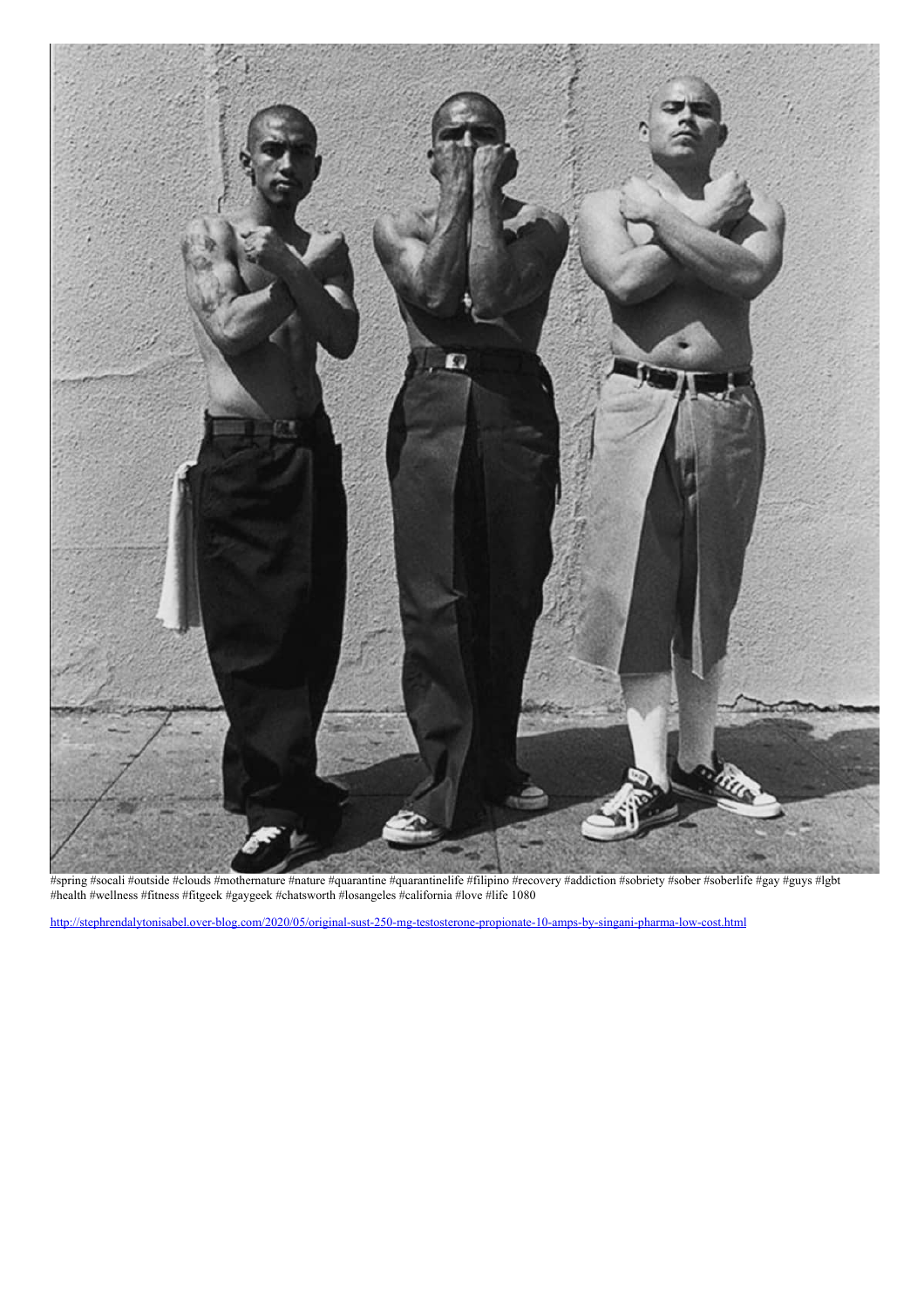

#spring #socali #outside #clouds #mothernature #nature #quarantine #quarantinelife #filipino #recovery #addiction #sobriety #sober #soberlife #gay #guys #lgbt #health #wellness #fitness #fitgeek #gaygeek #chatsworth #losangeles #california #love #life 1080

<http://stephrendalytonisabel.over-blog.com/2020/05/original-sust-250-mg-testosterone-propionate-10-amps-by-singani-pharma-low-cost.html>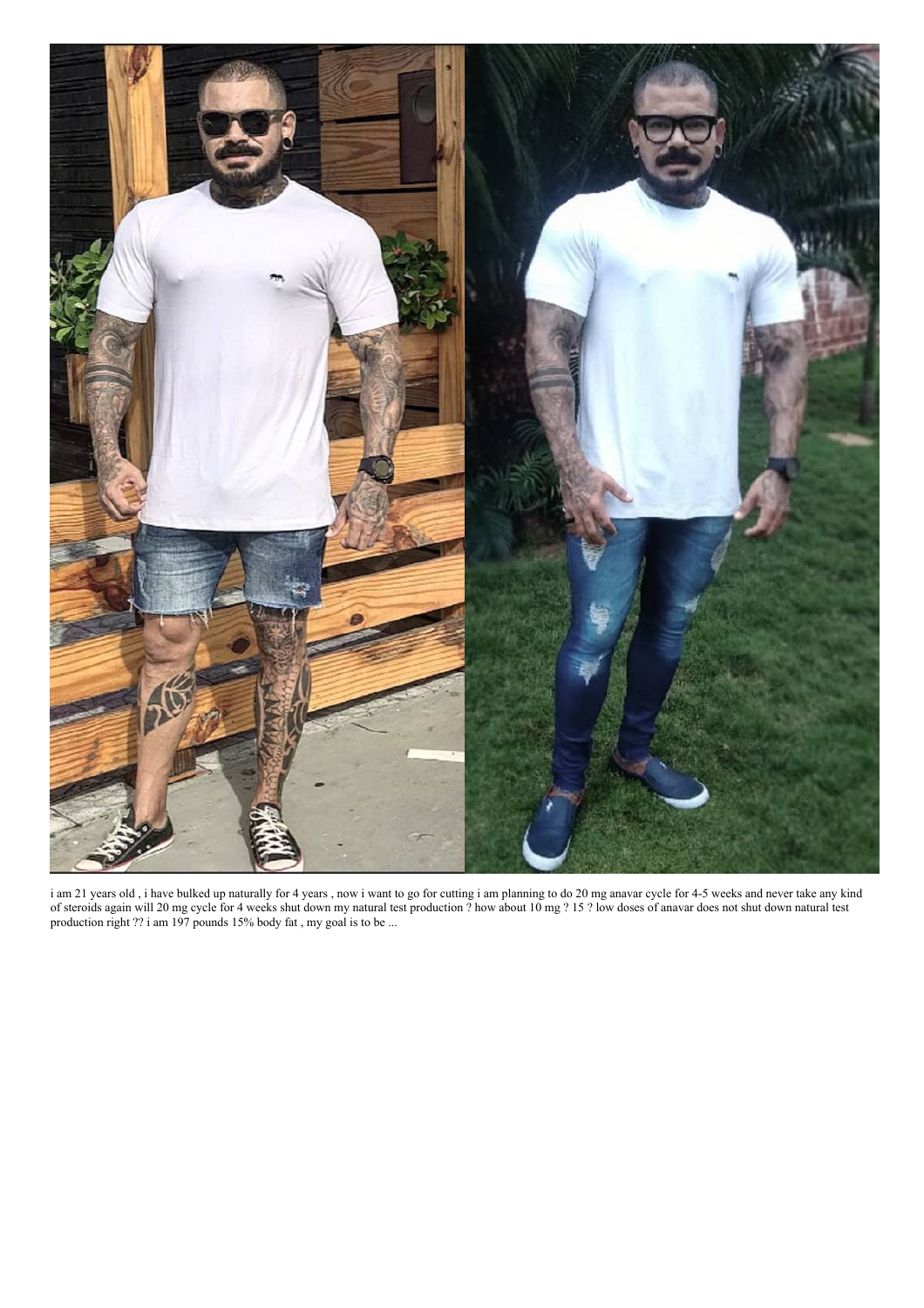

i am 21 years old , i have bulked up naturally for 4 years , now i want to go for cutting i am planning to do 20 mg anavar cycle for 4-5 weeks and never take any kind of steroids again will 20 mg cycle for 4 weeks shut down my natural test production ? how about 10 mg ? 15 ? low doses of anavar does not shut down natural test production right ?? i am 197 pounds 15% body fat , my goal is to be ...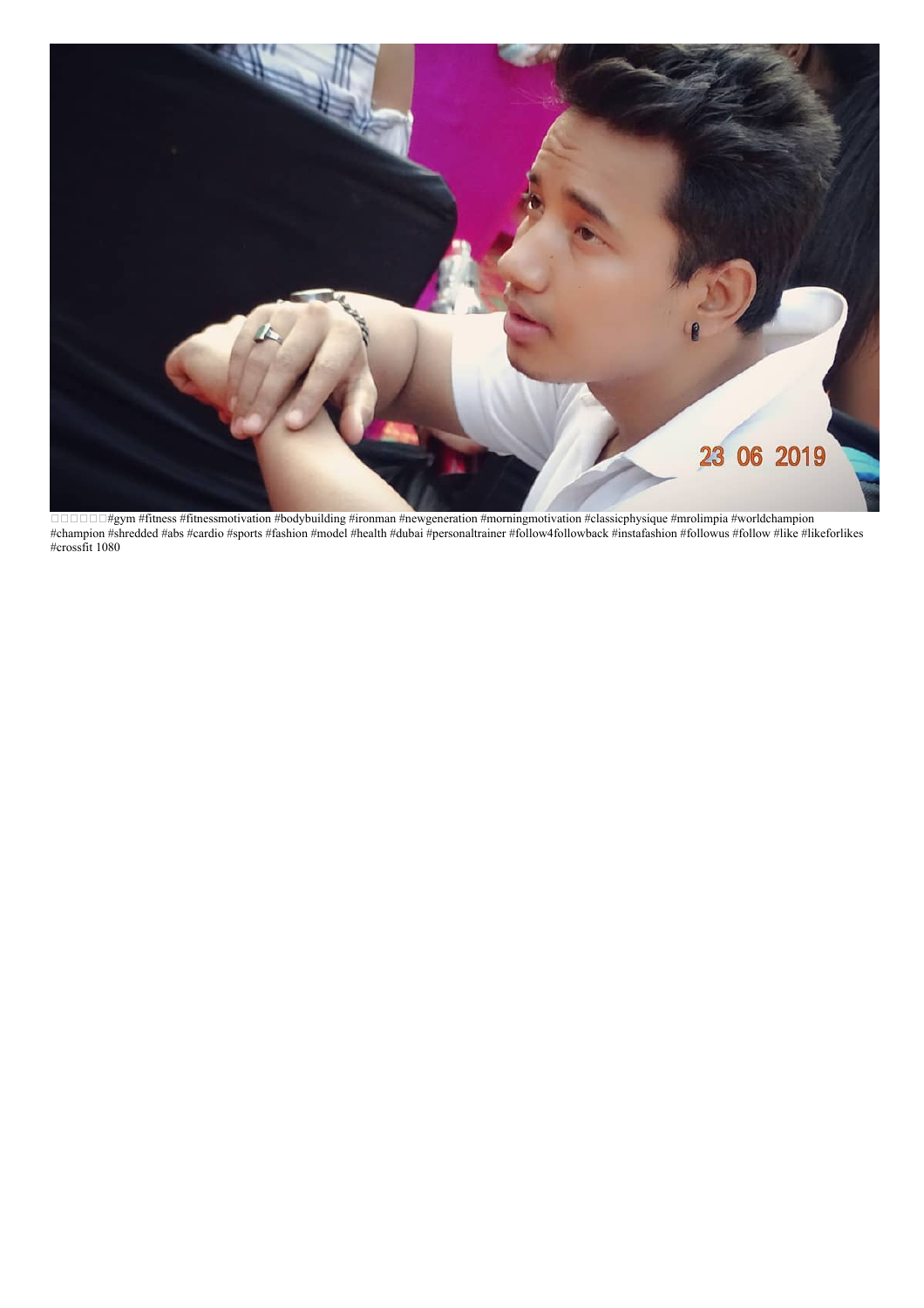

□□□□#gym #fitness #fitnessmotivation #bodybuilding #ironman #newgeneration #morningmotivation #classicphysique #mrolimpia #worldchampion #champion #shredded #abs #cardio #sports #fashion #model #health #dubai #personaltrainer #follow4followback #instafashion #followus #follow #like #likeforlikes #crossfit 1080